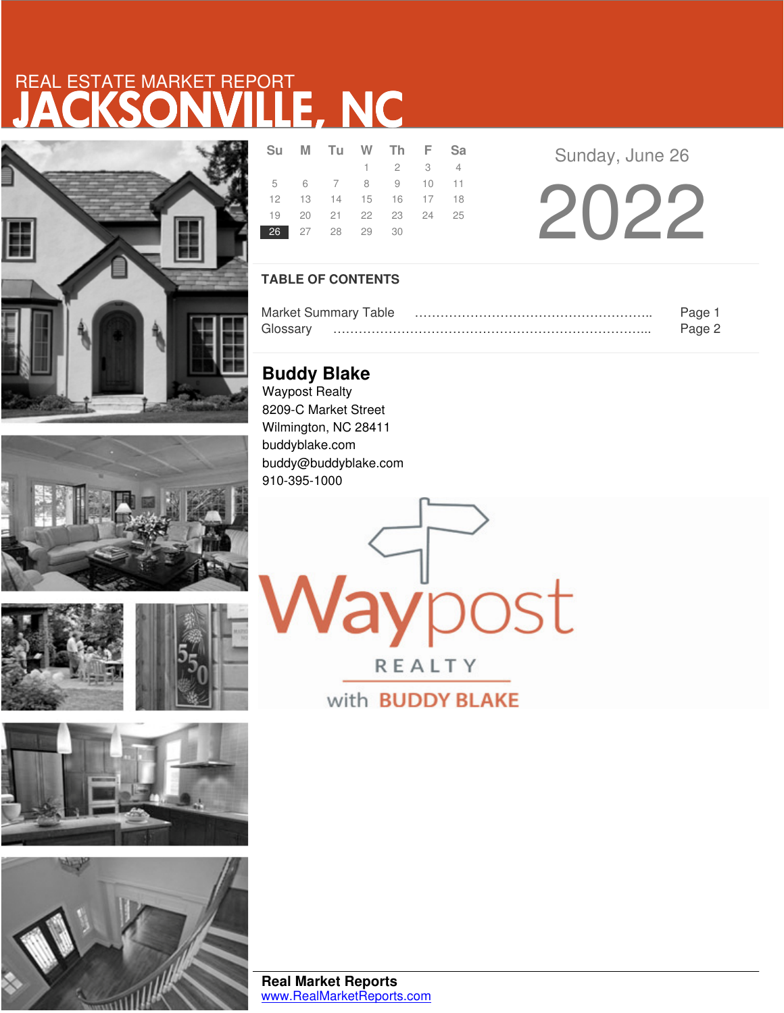# JACKSONVILLE, NC REAL ESTATE MARKET REPORT









|                | Su M Tu W Th F Sa          |                             |  |  |
|----------------|----------------------------|-----------------------------|--|--|
|                |                            | $1 \quad 2 \quad 3 \quad 4$ |  |  |
|                | 5 6 7 8 9 10 11            |                             |  |  |
|                | 12  13  14  15  16  17  18 |                             |  |  |
|                | 19 20 21 22 23 24 25       |                             |  |  |
| 26 27 28 29 30 |                            |                             |  |  |

Sunday, June 26

2022

## **TABLE OF CONTENTS**

|          | <b>Market Summary Table</b> | Page   |
|----------|-----------------------------|--------|
| Glossarv |                             | Pane : |

**Buddy Blake** Waypost Realty 8209-C Market Street Wilmington, NC 28411 buddyblake.com buddy@buddyblake.com 910-395-1000

**lay**post

**REALTY** with **BUDDY BLAKE**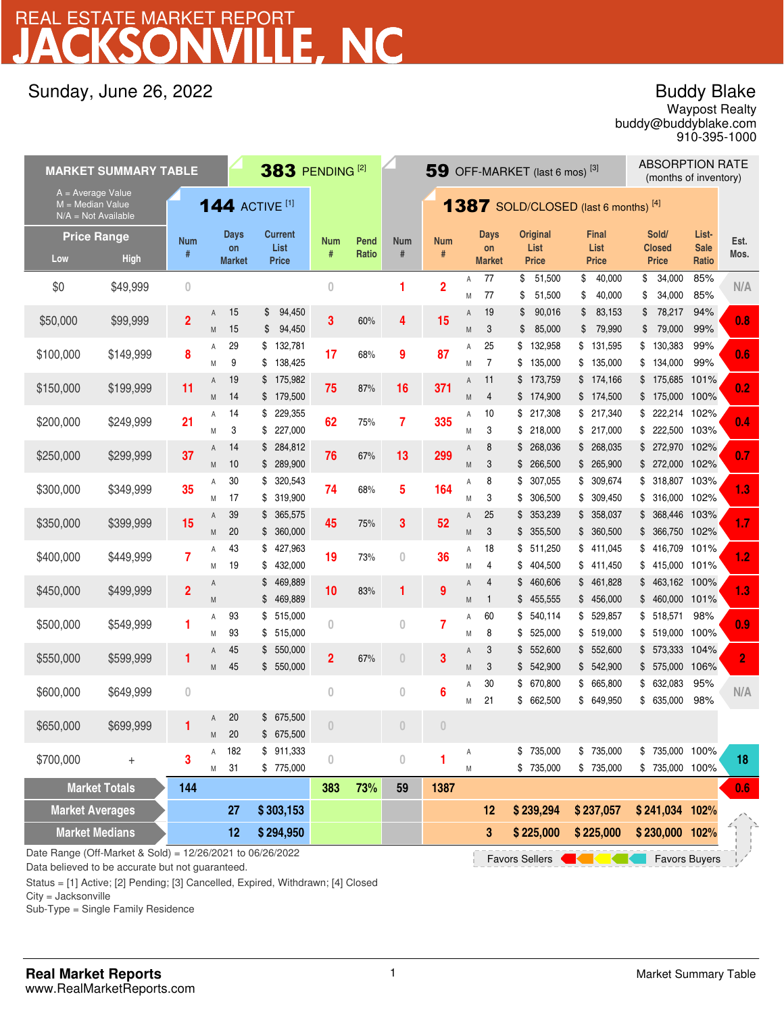# .E. NC REAL ESTATE MARKET REPORT

## Sunday, June 26, 2022

## Buddy Blake

buddy@buddyblake.com Waypost Realty 910-395-1000

| <b>MARKET SUMMARY TABLE</b>                                        |                                                                                                            |                |        |                       | 383 PENDING <sup>[2]</sup>     |                |       |                  | 59 OFF-MARKET (last 6 mos) <sup>[3]</sup> |        |                      |                                             |                                | <b>ABSORPTION RATE</b><br>(months of inventory) |                      |                |
|--------------------------------------------------------------------|------------------------------------------------------------------------------------------------------------|----------------|--------|-----------------------|--------------------------------|----------------|-------|------------------|-------------------------------------------|--------|----------------------|---------------------------------------------|--------------------------------|-------------------------------------------------|----------------------|----------------|
| $A = Average Value$<br>$M = Median Value$<br>$N/A = Not Available$ |                                                                                                            |                |        | <b>144 ACTIVE [1]</b> |                                |                |       |                  |                                           |        |                      | <b>1387</b> SOLD/CLOSED (last 6 months) [4] |                                |                                                 |                      |                |
| <b>Price Range</b>                                                 |                                                                                                            | <b>Num</b>     |        | <b>Days</b>           | <b>Current</b>                 | <b>Num</b>     | Pend  | <b>Num</b>       | <b>Num</b>                                |        | <b>Days</b>          | <b>Original</b>                             | <b>Final</b>                   | Sold/                                           | List-                | Est.           |
| Low                                                                | <b>High</b>                                                                                                | #              |        | on<br><b>Market</b>   | List<br><b>Price</b>           | #              | Ratio | $\#$             | $\#$                                      |        | on<br><b>Market</b>  | List<br><b>Price</b>                        | List<br><b>Price</b>           | <b>Closed</b><br><b>Price</b>                   | <b>Sale</b><br>Ratio | Mos.           |
| \$0                                                                | \$49,999                                                                                                   | $\overline{0}$ |        |                       |                                | $\overline{0}$ |       | 1                | $\overline{2}$                            | Α<br>M | 77<br>77             | \$<br>51,500<br>\$<br>51,500                | \$<br>40,000<br>\$<br>40,000   | \$<br>34,000<br>\$<br>34,000                    | 85%<br>85%           | N/A            |
| \$50,000                                                           | \$99,999                                                                                                   | $\overline{2}$ | Α<br>M | 15<br>15              | 94,450<br>S<br>94,450<br>\$    | 3              | 60%   | 4                | 15                                        | Α<br>M | 19<br>3              | 90,016<br>\$<br>85,000<br>\$                | \$<br>83,153<br>\$<br>79,990   | 78,217<br>\$<br>79,000<br>\$                    | 94%<br>99%           | 0.8            |
| \$100,000                                                          | \$149,999                                                                                                  | 8              | Α<br>M | 29<br>9               | 132,781<br>\$<br>\$<br>138,425 | 17             | 68%   | 9                | 87                                        | Α<br>M | 25<br>$\overline{7}$ | \$<br>132,958<br>\$<br>135,000              | \$<br>131,595<br>\$<br>135,000 | \$<br>130,383<br>\$<br>134,000                  | 99%<br>99%           | 0.6            |
| \$150,000                                                          | \$199,999                                                                                                  | 11             | Α<br>M | 19<br>14              | \$175,982<br>\$179,500         | 75             | 87%   | 16               | 371                                       | Α<br>M | 11<br>$\overline{4}$ | \$<br>173,759<br>\$174,900                  | \$174,166<br>\$174,500         | \$175,685<br>\$175,000 100%                     | 101%                 | 0.2            |
| \$200,000                                                          | \$249,999                                                                                                  | 21             | Α<br>M | 14<br>3               | 229,355<br>\$<br>227,000<br>\$ | 62             | 75%   | $\overline{7}$   | 335                                       | Α<br>M | 10<br>3              | \$<br>217,308<br>\$<br>218,000              | \$217,340<br>\$217,000         | \$222,214 102%<br>222,500 103%<br>\$            |                      | 0.4            |
| \$250,000                                                          | \$299,999                                                                                                  | 37             | Α<br>M | 14<br>10              | 284,812<br>\$<br>\$<br>289,900 | 76             | 67%   | 13               | 299                                       | Α<br>M | 8<br>3               | 268,036<br>\$<br>266,500<br>\$              | \$ 268,035<br>\$265,900        | \$ 272,970 102%<br>\$ 272,000 102%              |                      | 0.7            |
| \$300,000                                                          | \$349,999                                                                                                  | 35             | Α<br>M | 30<br>17              | \$ 320,543<br>319,900<br>\$    | 74             | 68%   | 5                | 164                                       | Α<br>M | 8<br>3               | \$<br>307,055<br>306,500<br>\$              | \$ 309,674<br>\$309,450        | \$ 318,807 103%<br>316,000 102%<br>\$           |                      | 1.3            |
| \$350,000                                                          | \$399,999                                                                                                  | 15             | Α<br>M | 39<br>20              | 365,575<br>\$<br>\$360,000     | 45             | 75%   | 3                | 52                                        | Α<br>M | 25<br>3              | 353,239<br>\$<br>\$355,500                  | 358,037<br>\$<br>\$360,500     | 368,446 103%<br>\$<br>\$ 366,750 102%           |                      | 1.7            |
| \$400,000                                                          | \$449,999                                                                                                  | $\overline{7}$ | Α<br>Μ | 43<br>19              | 427,963<br>\$<br>432,000<br>\$ | 19             | 73%   | $\overline{0}$   | 36                                        | Α<br>M | 18<br>4              | \$<br>511,250<br>404,500<br>\$              | \$411,045<br>\$411,450         | \$416,709<br>\$415,000 101%                     | 101%                 | 1.2            |
| \$450,000                                                          | \$499,999                                                                                                  | $\overline{2}$ | Α<br>M |                       | 469,889<br>\$<br>\$<br>469,889 | 10             | 83%   | 1                | 9                                         | Α<br>M | 4<br>$\mathbf{1}$    | 460,606<br>\$<br>\$<br>455,555              | \$461,828<br>\$456,000         | 463,162 100%<br>\$<br>460,000 101%<br>\$        |                      | 1.3            |
| \$500,000                                                          | \$549,999                                                                                                  | 1              | Α<br>Μ | 93<br>93              | \$<br>515,000<br>\$515,000     | $\overline{0}$ |       | $\mathbf{0}$     | $\overline{7}$                            | Α<br>M | 60<br>8              | \$<br>540,114<br>525,000<br>\$              | 529,857<br>\$<br>\$ 519,000    | \$518,571<br>\$ 519,000 100%                    | 98%                  | 0.9            |
| \$550,000                                                          | \$599,999                                                                                                  | 1              | Α<br>M | 45<br>45              | \$550,000<br>550,000<br>\$     | $\overline{2}$ | 67%   | $\theta$         | 3                                         | Α<br>M | 3<br>3               | 552,600<br>\$<br>542,900<br>\$              | \$552,600<br>\$542,900         | \$ 573,333 104%<br>575,000 106%<br>\$           |                      | $\overline{2}$ |
| \$600,000                                                          | \$649,999                                                                                                  | $\bf{0}$       |        |                       |                                | $\bf{0}$       |       | $\bf{0}$         | 6                                         | Α<br>M | 30<br>21             | \$<br>670,800<br>662,500<br>\$              | 665,800<br>\$<br>649,950<br>\$ | \$<br>632,083<br>\$635,000                      | 95%<br>98%           | N/A            |
| \$650,000                                                          | \$699,999                                                                                                  |                | Α<br>М | 20<br>20              | \$675,500<br>\$ 675,500        | $\theta$       |       | $\theta$         | $\theta$                                  |        |                      |                                             |                                |                                                 |                      |                |
| \$700,000                                                          | $^{+}$                                                                                                     | 3              | Α<br>Μ | 182<br>31             | \$911,333<br>\$775,000         | $\theta$       |       | $\boldsymbol{0}$ | 1                                         | А<br>M |                      | \$735,000<br>\$735,000                      | \$ 735,000<br>\$ 735,000       | \$735,000 100%<br>\$735,000 100%                |                      | 18             |
| <b>Market Totals</b>                                               |                                                                                                            | 144            |        |                       |                                | 383            | 73%   | 59               | 1387                                      |        |                      |                                             |                                |                                                 |                      | 0.6            |
| <b>Market Averages</b>                                             |                                                                                                            |                |        | 27                    | \$303,153                      |                |       |                  |                                           |        | 12                   | \$239,294                                   | \$237,057                      | \$241,034 102%                                  |                      |                |
| <b>Market Medians</b>                                              |                                                                                                            |                |        | 12                    | \$294,950                      |                |       |                  |                                           |        | 3                    | \$225,000                                   | \$225,000                      | \$230,000 102%                                  |                      |                |
|                                                                    | Date Range (Off-Market & Sold) = 12/26/2021 to 06/26/2022<br><b>Favors Buyers</b><br><b>Favors Sellers</b> |                |        |                       |                                |                |       |                  |                                           |        |                      |                                             |                                |                                                 |                      |                |

Data believed to be accurate but not guaranteed.

Status = [1] Active; [2] Pending; [3] Cancelled, Expired, Withdrawn; [4] Closed

City = Jacksonville

Sub-Type = Single Family Residence